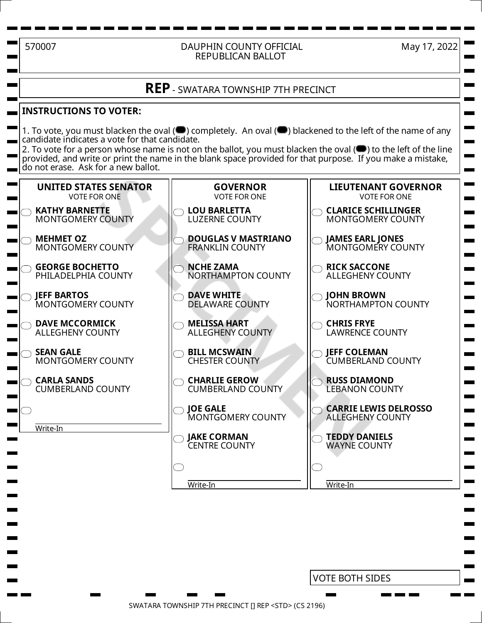## 570007 DAUPHIN COUNTY OFFICIAL REPUBLICAN BALLOT

May 17, 2022

## **REP**- SWATARA TOWNSHIP 7TH PRECINCT

## **INSTRUCTIONS TO VOTER:**

1. To vote, you must blacken the oval ( $\bullet$ ) completely. An oval ( $\bullet$ ) blackened to the left of the name of any candidate indicates a vote for that candidate.

2. To vote for a person whose name is not on the ballot, you must blacken the oval  $($ **)** to the left of the line provided, and write or print the name in the blank space provided for that purpose. If you make a mistake, do not erase. Ask for a new ballot.



VOTE BOTH SIDES